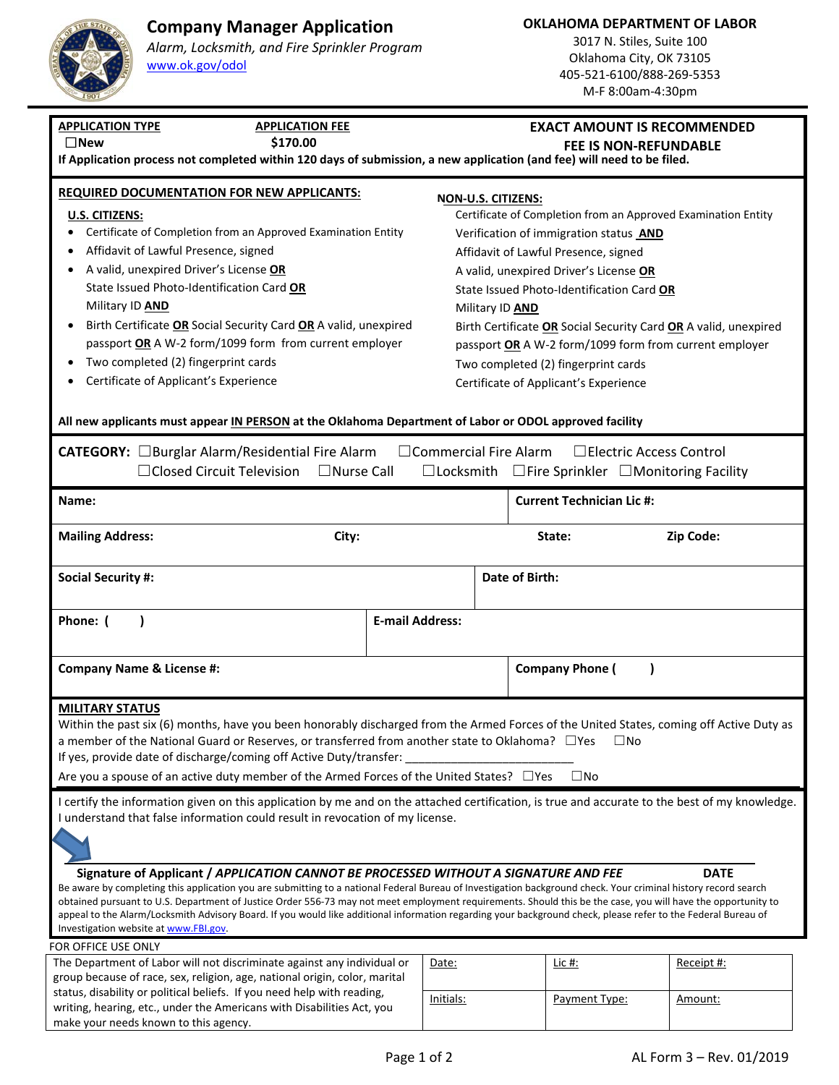# **Company Manager Application**

**OKLAHOMA DEPARTMENT OF LABOR** 

**U.S. CITIZENS:** 

### *Alarm, Locksmith, and Fire Sprinkler Program* www.ok.gov/odol

### 3017 N. Stiles, Suite 100 Oklahoma City, OK 73105 405‐521‐6100/888‐269‐5353 M‐F 8:00am‐4:30pm

# **APPLICATION TYPE APPLICATION FEE**  ☐**New \$170.00 If Application process not completed within 120 days of submission, a new application (and fee) will need to be filed. REQUIRED DOCUMENTATION FOR NEW APPLICANTS: NON‐U.S. CITIZENS:**

- $\bullet$  Certificate of Compl
- $\bullet$  Affidavit of Lawful
- $\bullet$  A valid, unexpired **State Issued Photo** Military ID **AND**
- **Birth Certificate OR** passport **OR** A W-2
- Two completed (2)
- Certificate of Appli

make your needs known to this agency.

# **EXACT AMOUNT IS RECOMMENDED**

**FEE IS NON‐REFUNDABLE** 

| <b>IAIIUN FUN NEW AFFEICANTS.</b>                   | NON-U.S. CITIZENS:                                              |  |  |
|-----------------------------------------------------|-----------------------------------------------------------------|--|--|
|                                                     | Certificate of Completion from an Approved Examination Entity   |  |  |
| letion from an Approved Examination Entity          | Verification of immigration status AND                          |  |  |
| Presence, signed                                    | Affidavit of Lawful Presence, signed                            |  |  |
| Driver's License OR                                 | A valid, unexpired Driver's License OR                          |  |  |
| -Identification Card <b>OR</b>                      | State Issued Photo-Identification Card OR                       |  |  |
|                                                     | Military ID <b>AND</b>                                          |  |  |
| <b>R</b> Social Security Card OR A valid, unexpired | Birth Certificate OR Social Security Card OR A valid, unexpired |  |  |
| 1 form/1099 form from current employer              | passport OR A W-2 form/1099 form from current employer          |  |  |
| fingerprint cards                                   | Two completed (2) fingerprint cards                             |  |  |
| icant's Experience                                  | Certificate of Applicant's Experience                           |  |  |
|                                                     |                                                                 |  |  |

### **All new applicants must appear IN PERSON at the Oklahoma Department of Labor or ODOL approved facility**

| CATEGORY: □Burglar Alarm/Residential Fire Alarm<br>$\Box$ Commercial Fire Alarm<br>□ Electric Access Control<br>□ Closed Circuit Television<br>$\Box$ Nurse Call<br>$\Box$ Locksmith<br>$\Box$ Fire Sprinkler $\Box$ Monitoring Facility                                                                                                                                                                                                                                                  |       |                        |                                  |             |  |  |
|-------------------------------------------------------------------------------------------------------------------------------------------------------------------------------------------------------------------------------------------------------------------------------------------------------------------------------------------------------------------------------------------------------------------------------------------------------------------------------------------|-------|------------------------|----------------------------------|-------------|--|--|
| Name:                                                                                                                                                                                                                                                                                                                                                                                                                                                                                     |       |                        | <b>Current Technician Lic #:</b> |             |  |  |
| <b>Mailing Address:</b>                                                                                                                                                                                                                                                                                                                                                                                                                                                                   | City: |                        | State:                           | Zip Code:   |  |  |
| <b>Social Security #:</b>                                                                                                                                                                                                                                                                                                                                                                                                                                                                 |       |                        | Date of Birth:                   |             |  |  |
| Phone: (<br>$\lambda$                                                                                                                                                                                                                                                                                                                                                                                                                                                                     |       | <b>E-mail Address:</b> |                                  |             |  |  |
| <b>Company Name &amp; License #:</b>                                                                                                                                                                                                                                                                                                                                                                                                                                                      |       |                        | <b>Company Phone (</b>           |             |  |  |
| <b>MILITARY STATUS</b><br>Within the past six (6) months, have you been honorably discharged from the Armed Forces of the United States, coming off Active Duty as<br>a member of the National Guard or Reserves, or transferred from another state to Oklahoma?<br>$\Box$ Yes<br>$\square$ No<br>If yes, provide date of discharge/coming off Active Duty/transfer:<br>$\square$ No<br>Are you a spouse of an active duty member of the Armed Forces of the United States? □ Yes         |       |                        |                                  |             |  |  |
| I certify the information given on this application by me and on the attached certification, is true and accurate to the best of my knowledge.<br>I understand that false information could result in revocation of my license.<br>Signature of Applicant / APPLICATION CANNOT BE PROCESSED WITHOUT A SIGNATURE AND FEE<br>Be aware by completing this application you are submitting to a national Federal Bureau of Investigation background check. Your criminal history record search |       |                        |                                  | <b>DATE</b> |  |  |
| obtained pursuant to U.S. Department of Justice Order 556-73 may not meet employment requirements. Should this be the case, you will have the opportunity to<br>appeal to the Alarm/Locksmith Advisory Board. If you would like additional information regarding your background check, please refer to the Federal Bureau of<br>Investigation website at www.FBI.gov.                                                                                                                    |       |                        |                                  |             |  |  |
| FOR OFFICE USE ONLY                                                                                                                                                                                                                                                                                                                                                                                                                                                                       |       |                        |                                  |             |  |  |
| The Department of Labor will not discriminate against any individual or<br>group because of race, sex, religion, age, national origin, color, marital<br>status, disability or political beliefs. If you need help with reading,<br>writing, hearing, etc., under the Americans with Disabilities Act, you                                                                                                                                                                                |       | Date:                  | Lic #:                           | Receipt #:  |  |  |
|                                                                                                                                                                                                                                                                                                                                                                                                                                                                                           |       | Initials:              | Payment Type:                    | Amount:     |  |  |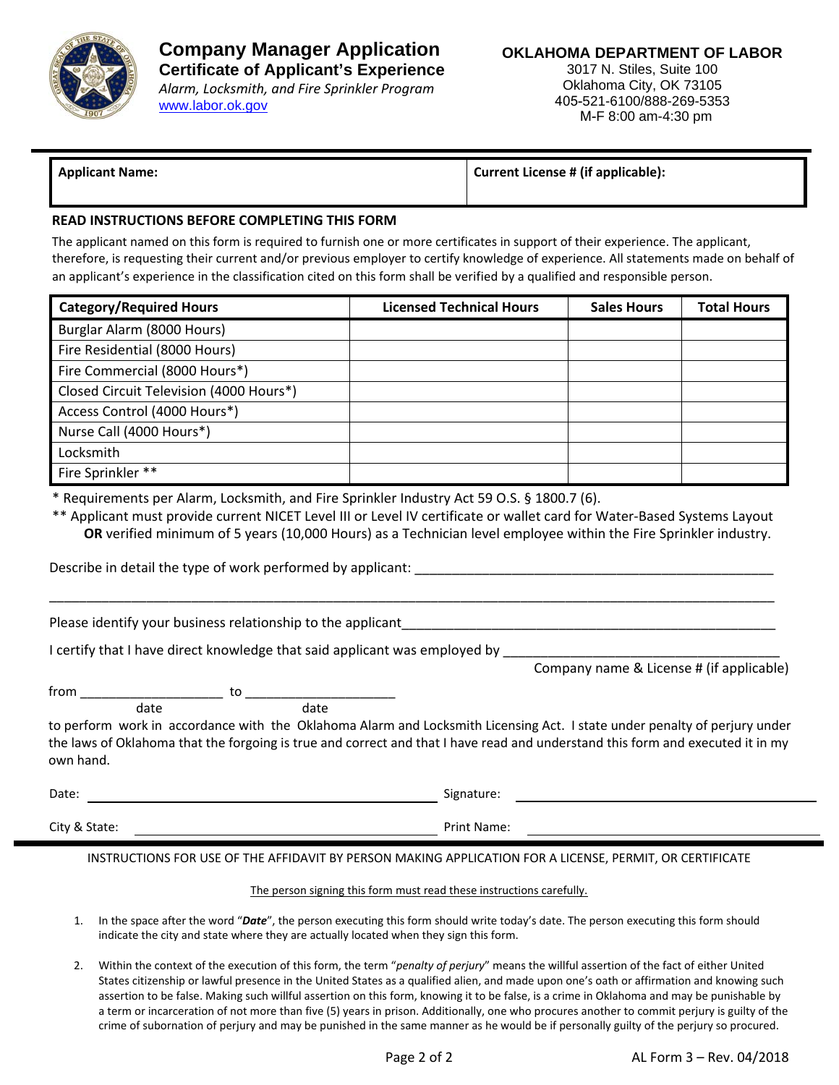

3017 N. Stiles, Suite 100 Oklahoma City, OK 73105 405-521-6100/888-269-5353 M-F 8:00 am-4:30 pm

**Applicant Name: Current License # (if applicable):**

### **READ INSTRUCTIONS BEFORE COMPLETING THIS FORM**

The applicant named on this form is required to furnish one or more certificates in support of their experience. The applicant, therefore, is requesting their current and/or previous employer to certify knowledge of experience. All statements made on behalf of an applicant's experience in the classification cited on this form shall be verified by a qualified and responsible person.

| <b>Category/Required Hours</b>          | <b>Licensed Technical Hours</b> | <b>Sales Hours</b> | <b>Total Hours</b> |
|-----------------------------------------|---------------------------------|--------------------|--------------------|
| Burglar Alarm (8000 Hours)              |                                 |                    |                    |
| Fire Residential (8000 Hours)           |                                 |                    |                    |
| Fire Commercial (8000 Hours*)           |                                 |                    |                    |
| Closed Circuit Television (4000 Hours*) |                                 |                    |                    |
| Access Control (4000 Hours*)            |                                 |                    |                    |
| Nurse Call (4000 Hours*)                |                                 |                    |                    |
| Locksmith                               |                                 |                    |                    |
| Fire Sprinkler **                       |                                 |                    |                    |

\* Requirements per Alarm, Locksmith, and Fire Sprinkler Industry Act 59 O.S. § 1800.7 (6).

\*\* Applicant must provide current NICET Level III or Level IV certificate or wallet card for Water-Based Systems Layout **OR** verified minimum of 5 years (10,000 Hours) as a Technician level employee within the Fire Sprinkler industry.

\_\_\_\_\_\_\_\_\_\_\_\_\_\_\_\_\_\_\_\_\_\_\_\_\_\_\_\_\_\_\_\_\_\_\_\_\_\_\_\_\_\_\_\_\_\_\_\_\_\_\_\_\_\_\_\_\_\_\_\_\_\_\_\_\_\_\_\_\_\_\_\_\_\_\_\_\_\_\_\_\_\_\_\_\_\_\_\_\_\_\_\_\_\_\_\_\_

Describe in detail the type of work performed by applicant: \_\_\_\_\_\_\_\_\_\_\_\_\_\_\_\_\_\_\_\_

Please identify your business relationship to the applicant

I certify that I have direct knowledge that said applicant was employed by

Company name & License # (if applicable)

from \_\_\_\_\_\_\_\_\_\_\_\_\_\_\_\_\_\_\_\_ to \_\_\_\_\_\_\_\_\_\_\_\_\_\_\_\_\_\_\_\_\_ date date date

to perform work in accordance with the Oklahoma Alarm and Locksmith Licensing Act. I state under penalty of perjury under the laws of Oklahoma that the forgoing is true and correct and that I have read and understand this form and executed it in my own hand.

| Date:         | Signature:  |
|---------------|-------------|
| City & State: | Print Name: |

INSTRUCTIONS FOR USE OF THE AFFIDAVIT BY PERSON MAKING APPLICATION FOR A LICENSE, PERMIT, OR CERTIFICATE

### The person signing this form must read these instructions carefully.

- 1. In the space after the word "*Date*", the person executing this form should write today's date. The person executing this form should indicate the city and state where they are actually located when they sign this form.
- 2. Within the context of the execution of this form, the term "*penalty of perjury*" means the willful assertion of the fact of either United States citizenship or lawful presence in the United States as a qualified alien, and made upon one's oath or affirmation and knowing such assertion to be false. Making such willful assertion on this form, knowing it to be false, is a crime in Oklahoma and may be punishable by a term or incarceration of not more than five (5) years in prison. Additionally, one who procures another to commit perjury is guilty of the crime of subornation of perjury and may be punished in the same manner as he would be if personally guilty of the perjury so procured.